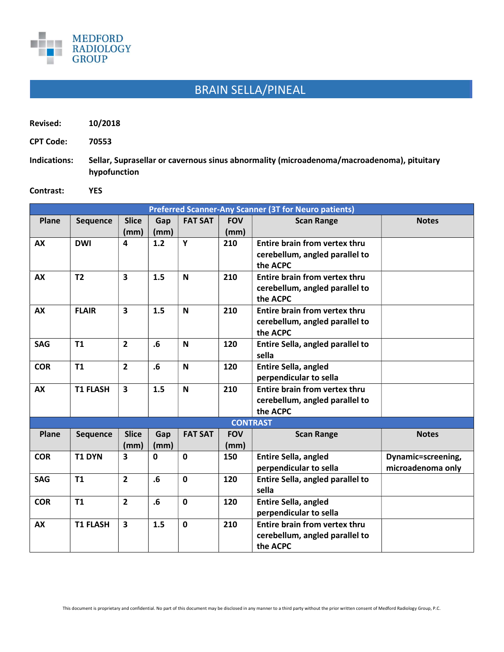

## BRAIN SELLA/PINEAL

| Revised:         | 10/2018     |  |  |
|------------------|-------------|--|--|
| <b>CPT Code:</b> | 70553       |  |  |
| Indications:     | Sellar. Sup |  |  |

r, Suprasellar or cavernous sinus abnormality (microadenoma/macroadenoma), pituitary hypofunction

Contrast: YES

| <b>Preferred Scanner-Any Scanner (3T for Neuro patients)</b> |                 |                         |                         |                |            |                                      |                    |  |
|--------------------------------------------------------------|-----------------|-------------------------|-------------------------|----------------|------------|--------------------------------------|--------------------|--|
| Plane                                                        | <b>Sequence</b> | <b>Slice</b>            | Gap                     | <b>FAT SAT</b> | <b>FOV</b> | <b>Scan Range</b>                    | <b>Notes</b>       |  |
|                                                              |                 | (mm)                    | (mm)                    |                | (mm)       |                                      |                    |  |
| <b>AX</b>                                                    | <b>DWI</b>      | 4                       | 1.2                     | Y              | 210        | Entire brain from vertex thru        |                    |  |
|                                                              |                 |                         |                         |                |            | cerebellum, angled parallel to       |                    |  |
|                                                              |                 |                         |                         |                |            | the ACPC                             |                    |  |
| <b>AX</b>                                                    | T <sub>2</sub>  | $\overline{\mathbf{3}}$ | 1.5                     | $\mathbf N$    | 210        | <b>Entire brain from vertex thru</b> |                    |  |
|                                                              |                 |                         |                         |                |            | cerebellum, angled parallel to       |                    |  |
|                                                              |                 |                         |                         |                |            | the ACPC                             |                    |  |
| <b>AX</b>                                                    | <b>FLAIR</b>    | $\overline{\mathbf{3}}$ | 1.5                     | $\mathbf N$    | 210        | <b>Entire brain from vertex thru</b> |                    |  |
|                                                              |                 |                         |                         |                |            | cerebellum, angled parallel to       |                    |  |
|                                                              |                 |                         |                         |                |            | the ACPC                             |                    |  |
| <b>SAG</b>                                                   | T1              | $\overline{2}$          | .6                      | N              | 120        | Entire Sella, angled parallel to     |                    |  |
|                                                              |                 |                         |                         |                |            | sella                                |                    |  |
| <b>COR</b>                                                   | T1              | $\overline{2}$          | .6                      | N              | 120        | <b>Entire Sella, angled</b>          |                    |  |
|                                                              |                 |                         |                         |                |            | perpendicular to sella               |                    |  |
| <b>AX</b>                                                    | <b>T1 FLASH</b> | $\overline{\mathbf{3}}$ | 1.5                     | $\mathbf N$    | 210        | Entire brain from vertex thru        |                    |  |
|                                                              |                 |                         |                         |                |            | cerebellum, angled parallel to       |                    |  |
|                                                              |                 |                         |                         |                |            | the ACPC                             |                    |  |
| <b>CONTRAST</b>                                              |                 |                         |                         |                |            |                                      |                    |  |
| Plane                                                        | Sequence        | <b>Slice</b>            | Gap                     | <b>FAT SAT</b> | <b>FOV</b> | <b>Scan Range</b>                    | <b>Notes</b>       |  |
|                                                              |                 | (mm)                    | (mm)                    |                | (mm)       |                                      |                    |  |
| <b>COR</b>                                                   | <b>T1 DYN</b>   | $\mathbf{3}$            | $\mathbf{0}$            | $\mathbf 0$    | 150        | <b>Entire Sella, angled</b>          | Dynamic=screening, |  |
|                                                              |                 |                         |                         |                |            | perpendicular to sella               | microadenoma only  |  |
| <b>SAG</b>                                                   | <b>T1</b>       | $\overline{2}$          | $\overline{\mathbf{6}}$ | $\mathbf 0$    | 120        | Entire Sella, angled parallel to     |                    |  |
|                                                              |                 |                         |                         |                |            | sella                                |                    |  |
| <b>COR</b>                                                   | <b>T1</b>       | $\overline{2}$          | $\overline{\mathbf{6}}$ | $\mathbf 0$    | 120        | <b>Entire Sella, angled</b>          |                    |  |
|                                                              |                 |                         |                         |                |            | perpendicular to sella               |                    |  |
| <b>AX</b>                                                    | <b>T1 FLASH</b> | $\overline{\mathbf{3}}$ | 1.5                     | $\mathbf 0$    | 210        | <b>Entire brain from vertex thru</b> |                    |  |
|                                                              |                 |                         |                         |                |            | cerebellum, angled parallel to       |                    |  |
|                                                              |                 |                         |                         |                |            | the ACPC                             |                    |  |